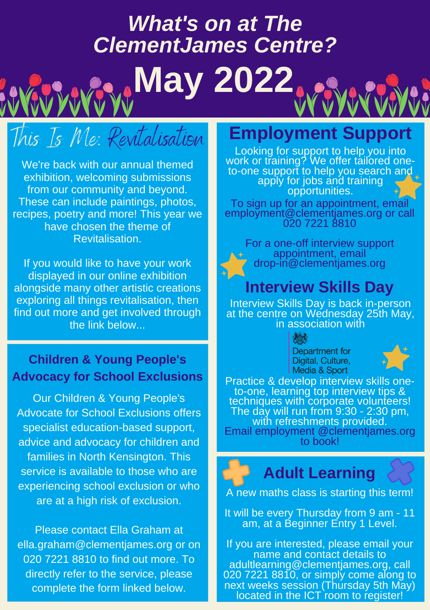# *What's on at The ClementJames Centre?*

**May 2022**

# This Is Me: Revitalisation

We're back with our annual themed exhibition, welcoming submissions from our community and beyond. These can include paintings, photos, recipes, poetry and more! This year we have chosen the theme of Revitalisation.

If you would like to have your work displayed in our online exhibition alongside many other artistic creations exploring all things revitalisation, then find out more and get involved through the link below...

#### **Children & Young People's Advocacy for School Exclusions**

Our Children & Young People's Advocate for School Exclusions offers specialist education-based support, advice and advocacy for children and families in North Kensington. This service is available to those who are experiencing school exclusion or who are at a high risk of exclusion.

Please contact Ella Graham at ella.graham@clementjames.org or on 020 7221 8810 to find out more. To directly refer to the service, please complete the form linked below.

### **Employment Support**

Looking for support to help you into work or training? We offer tailored oneto-one support to help you search and apply for jobs and training opportunities.

To sign up for an appointment, email employment@clementjames.org or call 020 7221 8810

For a one-off interview support appointment, email drop-in@clementjames.org

### **Interview Skills Day**

Interview Skills Day is back in-person at the centre on Wednesday 25th May, in association with

> Department for Digital, Culture, Media & Sport



Practice & develop interview skills oneto-one, learning top interview tips & techniques with corporate volunteers! The day will run from 9:30 - 2:30 pm, with refreshments provided. Email employment @clementjames.org to book!

## **Adult Learning**

A new maths class is starting this term!

It will be every Thursday from 9 am - 11 am, at a Beginner Entry 1 Level.

If you are interested, please email your name and contact details to adultlearning@clementjames.org, call 020 7221 8810, or simply come along to next weeks session (Thursday 5th May) located in the ICT room to register!